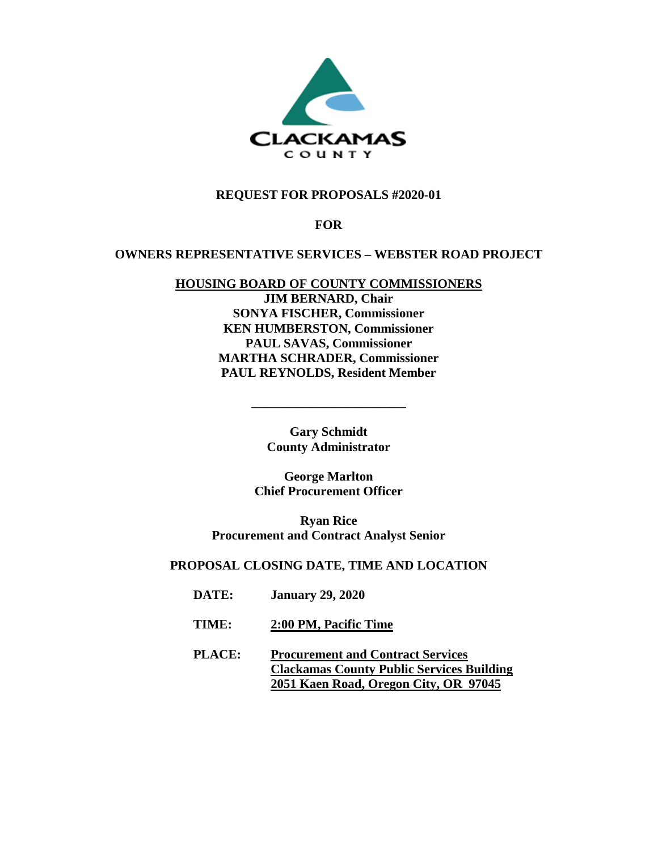

## **REQUEST FOR PROPOSALS #2020-01**

## **FOR**

#### **OWNERS REPRESENTATIVE SERVICES – WEBSTER ROAD PROJECT**

# **HOUSING BOARD OF COUNTY COMMISSIONERS**

**JIM BERNARD, Chair SONYA FISCHER, Commissioner KEN HUMBERSTON, Commissioner PAUL SAVAS, Commissioner MARTHA SCHRADER, Commissioner PAUL REYNOLDS, Resident Member**

> **Gary Schmidt County Administrator**

**\_\_\_\_\_\_\_\_\_\_\_\_\_\_\_\_\_\_\_\_\_\_\_\_** 

**George Marlton Chief Procurement Officer**

**Ryan Rice Procurement and Contract Analyst Senior**

## **PROPOSAL CLOSING DATE, TIME AND LOCATION**

- **DATE: January 29, 2020**
- **TIME: 2:00 PM, Pacific Time**
- **PLACE: Procurement and Contract Services Clackamas County Public Services Building 2051 Kaen Road, Oregon City, OR 97045**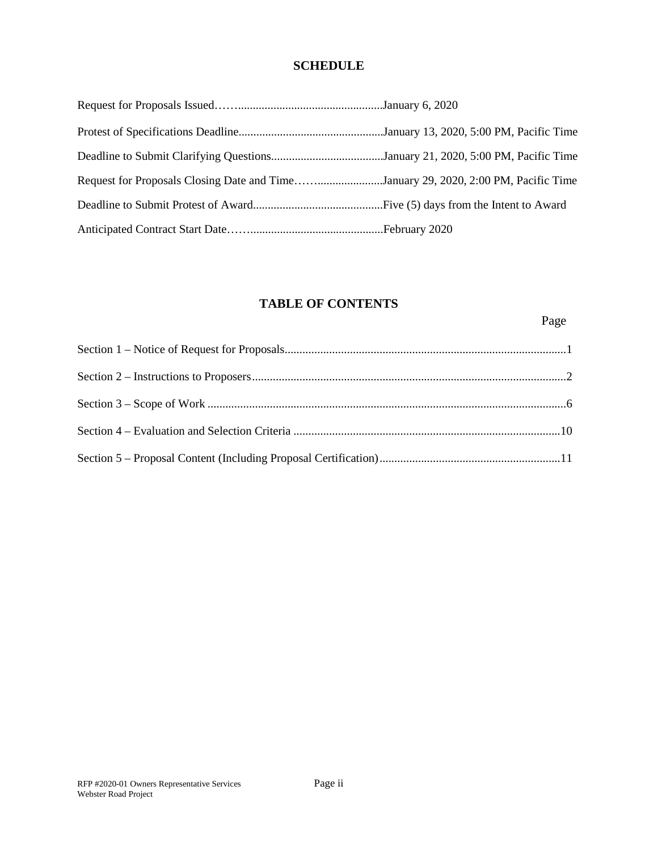## **SCHEDULE**

| Request for Proposals Closing Date and TimeJanuary 29, 2020, 2:00 PM, Pacific Time |  |
|------------------------------------------------------------------------------------|--|
|                                                                                    |  |
|                                                                                    |  |

## **TABLE OF CONTENTS**

Page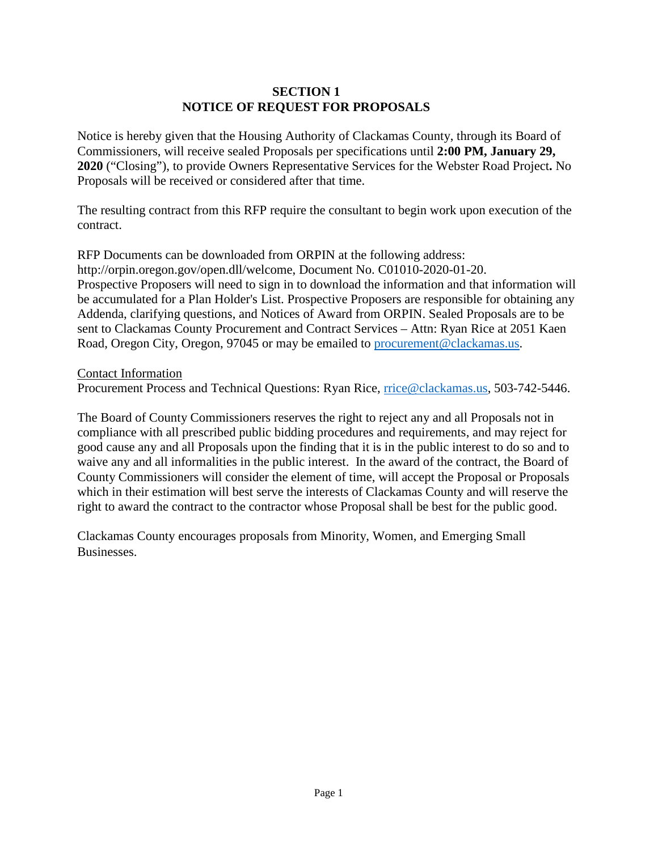## **SECTION 1 NOTICE OF REQUEST FOR PROPOSALS**

Notice is hereby given that the Housing Authority of Clackamas County, through its Board of Commissioners, will receive sealed Proposals per specifications until **2:00 PM, January 29, 2020** ("Closing"), to provide Owners Representative Services for the Webster Road Project**.** No Proposals will be received or considered after that time.

The resulting contract from this RFP require the consultant to begin work upon execution of the contract.

RFP Documents can be downloaded from ORPIN at the following address: http://orpin.oregon.gov/open.dll/welcome, Document No. C01010-2020-01-20. Prospective Proposers will need to sign in to download the information and that information will be accumulated for a Plan Holder's List. Prospective Proposers are responsible for obtaining any Addenda, clarifying questions, and Notices of Award from ORPIN. Sealed Proposals are to be sent to Clackamas County Procurement and Contract Services – Attn: Ryan Rice at 2051 Kaen Road, Oregon City, Oregon, 97045 or may be emailed to [procurement@clackamas.us.](mailto:procurement@clackamas.us)

Contact Information

Procurement Process and Technical Questions: Ryan Rice, [rrice@clackamas.us,](mailto:rrice@clackamas.us) 503-742-5446.

The Board of County Commissioners reserves the right to reject any and all Proposals not in compliance with all prescribed public bidding procedures and requirements, and may reject for good cause any and all Proposals upon the finding that it is in the public interest to do so and to waive any and all informalities in the public interest. In the award of the contract, the Board of County Commissioners will consider the element of time, will accept the Proposal or Proposals which in their estimation will best serve the interests of Clackamas County and will reserve the right to award the contract to the contractor whose Proposal shall be best for the public good.

Clackamas County encourages proposals from Minority, Women, and Emerging Small Businesses.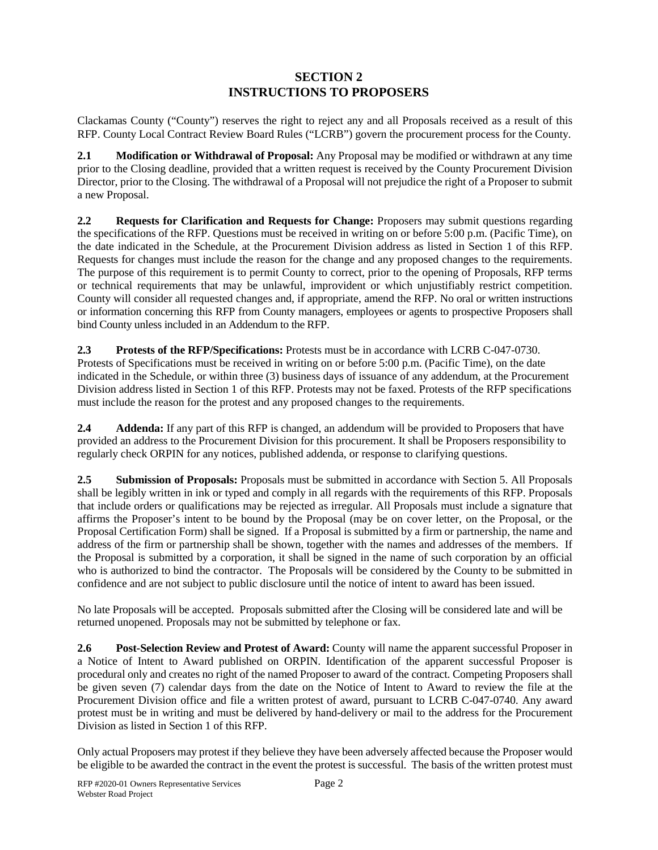## **SECTION 2 INSTRUCTIONS TO PROPOSERS**

Clackamas County ("County") reserves the right to reject any and all Proposals received as a result of this RFP. County Local Contract Review Board Rules ("LCRB") govern the procurement process for the County.

**2.1 Modification or Withdrawal of Proposal:** Any Proposal may be modified or withdrawn at any time prior to the Closing deadline, provided that a written request is received by the County Procurement Division Director, prior to the Closing. The withdrawal of a Proposal will not prejudice the right of a Proposer to submit a new Proposal.

**2.2 Requests for Clarification and Requests for Change:** Proposers may submit questions regarding the specifications of the RFP. Questions must be received in writing on or before 5:00 p.m. (Pacific Time), on the date indicated in the Schedule, at the Procurement Division address as listed in Section 1 of this RFP. Requests for changes must include the reason for the change and any proposed changes to the requirements. The purpose of this requirement is to permit County to correct, prior to the opening of Proposals, RFP terms or technical requirements that may be unlawful, improvident or which unjustifiably restrict competition. County will consider all requested changes and, if appropriate, amend the RFP. No oral or written instructions or information concerning this RFP from County managers, employees or agents to prospective Proposers shall bind County unless included in an Addendum to the RFP.

**2.3 Protests of the RFP/Specifications:** Protests must be in accordance with LCRB C-047-0730. Protests of Specifications must be received in writing on or before 5:00 p.m. (Pacific Time), on the date indicated in the Schedule, or within three (3) business days of issuance of any addendum, at the Procurement Division address listed in Section 1 of this RFP. Protests may not be faxed. Protests of the RFP specifications must include the reason for the protest and any proposed changes to the requirements.

**2.4 Addenda:** If any part of this RFP is changed, an addendum will be provided to Proposers that have provided an address to the Procurement Division for this procurement. It shall be Proposers responsibility to regularly check ORPIN for any notices, published addenda, or response to clarifying questions.

**2.5 Submission of Proposals:** Proposals must be submitted in accordance with Section 5. All Proposals shall be legibly written in ink or typed and comply in all regards with the requirements of this RFP. Proposals that include orders or qualifications may be rejected as irregular. All Proposals must include a signature that affirms the Proposer's intent to be bound by the Proposal (may be on cover letter, on the Proposal, or the Proposal Certification Form) shall be signed. If a Proposal is submitted by a firm or partnership, the name and address of the firm or partnership shall be shown, together with the names and addresses of the members. If the Proposal is submitted by a corporation, it shall be signed in the name of such corporation by an official who is authorized to bind the contractor. The Proposals will be considered by the County to be submitted in confidence and are not subject to public disclosure until the notice of intent to award has been issued.

No late Proposals will be accepted. Proposals submitted after the Closing will be considered late and will be returned unopened. Proposals may not be submitted by telephone or fax.

**2.6 Post-Selection Review and Protest of Award:** County will name the apparent successful Proposer in a Notice of Intent to Award published on ORPIN. Identification of the apparent successful Proposer is procedural only and creates no right of the named Proposer to award of the contract. Competing Proposers shall be given seven (7) calendar days from the date on the Notice of Intent to Award to review the file at the Procurement Division office and file a written protest of award, pursuant to LCRB C-047-0740. Any award protest must be in writing and must be delivered by hand-delivery or mail to the address for the Procurement Division as listed in Section 1 of this RFP.

Only actual Proposers may protest if they believe they have been adversely affected because the Proposer would be eligible to be awarded the contract in the event the protest is successful. The basis of the written protest must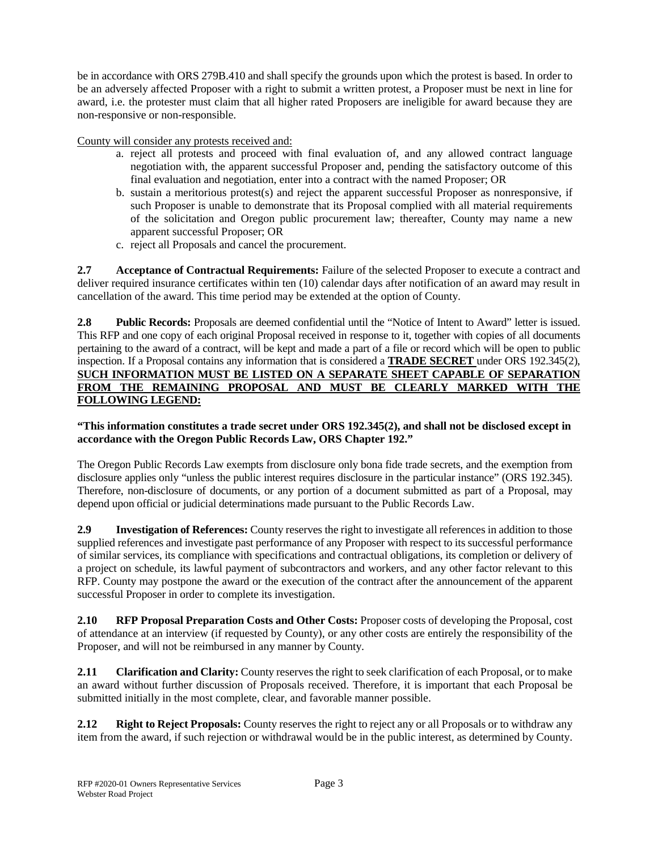be in accordance with ORS 279B.410 and shall specify the grounds upon which the protest is based. In order to be an adversely affected Proposer with a right to submit a written protest, a Proposer must be next in line for award, i.e. the protester must claim that all higher rated Proposers are ineligible for award because they are non-responsive or non-responsible.

County will consider any protests received and:

- a. reject all protests and proceed with final evaluation of, and any allowed contract language negotiation with, the apparent successful Proposer and, pending the satisfactory outcome of this final evaluation and negotiation, enter into a contract with the named Proposer; OR
- b. sustain a meritorious protest(s) and reject the apparent successful Proposer as nonresponsive, if such Proposer is unable to demonstrate that its Proposal complied with all material requirements of the solicitation and Oregon public procurement law; thereafter, County may name a new apparent successful Proposer; OR
- c. reject all Proposals and cancel the procurement.

**2.7 Acceptance of Contractual Requirements:** Failure of the selected Proposer to execute a contract and deliver required insurance certificates within ten (10) calendar days after notification of an award may result in cancellation of the award. This time period may be extended at the option of County.

**2.8 Public Records:** Proposals are deemed confidential until the "Notice of Intent to Award" letter is issued. This RFP and one copy of each original Proposal received in response to it, together with copies of all documents pertaining to the award of a contract, will be kept and made a part of a file or record which will be open to public inspection. If a Proposal contains any information that is considered a **TRADE SECRET** under ORS 192.345(2), **SUCH INFORMATION MUST BE LISTED ON A SEPARATE SHEET CAPABLE OF SEPARATION FROM THE REMAINING PROPOSAL AND MUST BE CLEARLY MARKED WITH THE FOLLOWING LEGEND:** 

#### **"This information constitutes a trade secret under ORS 192.345(2), and shall not be disclosed except in accordance with the Oregon Public Records Law, ORS Chapter 192."**

The Oregon Public Records Law exempts from disclosure only bona fide trade secrets, and the exemption from disclosure applies only "unless the public interest requires disclosure in the particular instance" (ORS 192.345). Therefore, non-disclosure of documents, or any portion of a document submitted as part of a Proposal, may depend upon official or judicial determinations made pursuant to the Public Records Law.

**2.9 Investigation of References:** County reserves the right to investigate all references in addition to those supplied references and investigate past performance of any Proposer with respect to its successful performance of similar services, its compliance with specifications and contractual obligations, its completion or delivery of a project on schedule, its lawful payment of subcontractors and workers, and any other factor relevant to this RFP. County may postpone the award or the execution of the contract after the announcement of the apparent successful Proposer in order to complete its investigation.

**2.10 RFP Proposal Preparation Costs and Other Costs:** Proposer costs of developing the Proposal, cost of attendance at an interview (if requested by County), or any other costs are entirely the responsibility of the Proposer, and will not be reimbursed in any manner by County.

**2.11 Clarification and Clarity:** County reserves the right to seek clarification of each Proposal, or to make an award without further discussion of Proposals received. Therefore, it is important that each Proposal be submitted initially in the most complete, clear, and favorable manner possible.

**2.12 Right to Reject Proposals:** County reserves the right to reject any or all Proposals or to withdraw any item from the award, if such rejection or withdrawal would be in the public interest, as determined by County.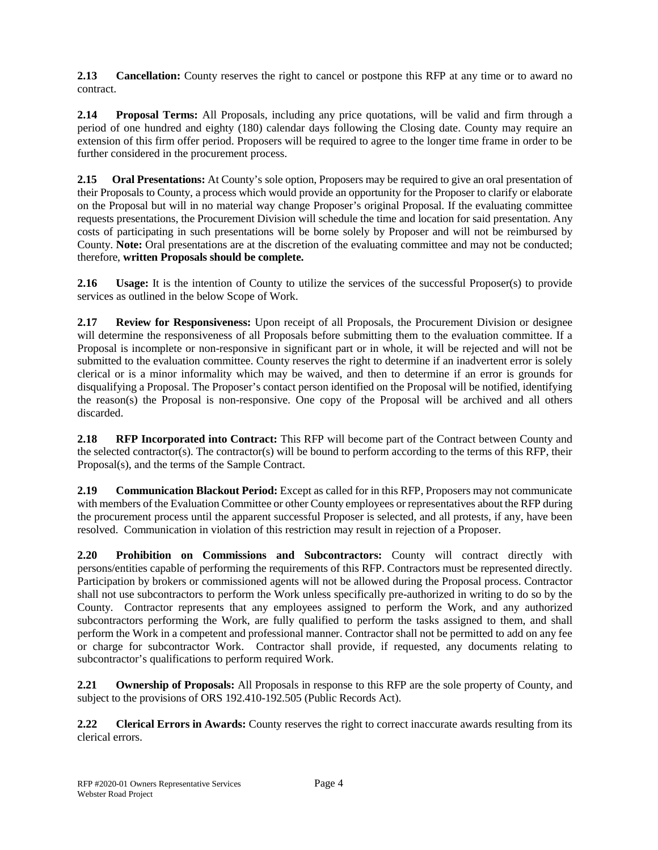**2.13 Cancellation:** County reserves the right to cancel or postpone this RFP at any time or to award no contract.

**2.14 Proposal Terms:** All Proposals, including any price quotations, will be valid and firm through a period of one hundred and eighty (180) calendar days following the Closing date. County may require an extension of this firm offer period. Proposers will be required to agree to the longer time frame in order to be further considered in the procurement process.

**2.15 Oral Presentations:** At County's sole option, Proposers may be required to give an oral presentation of their Proposals to County, a process which would provide an opportunity for the Proposer to clarify or elaborate on the Proposal but will in no material way change Proposer's original Proposal. If the evaluating committee requests presentations, the Procurement Division will schedule the time and location for said presentation. Any costs of participating in such presentations will be borne solely by Proposer and will not be reimbursed by County. **Note:** Oral presentations are at the discretion of the evaluating committee and may not be conducted; therefore, **written Proposals should be complete.**

**2.16 Usage:** It is the intention of County to utilize the services of the successful Proposer(s) to provide services as outlined in the below Scope of Work.

**2.17 Review for Responsiveness:** Upon receipt of all Proposals, the Procurement Division or designee will determine the responsiveness of all Proposals before submitting them to the evaluation committee. If a Proposal is incomplete or non-responsive in significant part or in whole, it will be rejected and will not be submitted to the evaluation committee. County reserves the right to determine if an inadvertent error is solely clerical or is a minor informality which may be waived, and then to determine if an error is grounds for disqualifying a Proposal. The Proposer's contact person identified on the Proposal will be notified, identifying the reason(s) the Proposal is non-responsive. One copy of the Proposal will be archived and all others discarded.

**2.18 RFP Incorporated into Contract:** This RFP will become part of the Contract between County and the selected contractor(s). The contractor(s) will be bound to perform according to the terms of this RFP, their Proposal(s), and the terms of the Sample Contract.

**2.19 Communication Blackout Period:** Except as called for in this RFP, Proposers may not communicate with members of the Evaluation Committee or other County employees or representatives about the RFP during the procurement process until the apparent successful Proposer is selected, and all protests, if any, have been resolved. Communication in violation of this restriction may result in rejection of a Proposer.

**2.20 Prohibition on Commissions and Subcontractors:** County will contract directly with persons/entities capable of performing the requirements of this RFP. Contractors must be represented directly. Participation by brokers or commissioned agents will not be allowed during the Proposal process. Contractor shall not use subcontractors to perform the Work unless specifically pre-authorized in writing to do so by the County. Contractor represents that any employees assigned to perform the Work, and any authorized subcontractors performing the Work, are fully qualified to perform the tasks assigned to them, and shall perform the Work in a competent and professional manner. Contractor shall not be permitted to add on any fee or charge for subcontractor Work. Contractor shall provide, if requested, any documents relating to subcontractor's qualifications to perform required Work.

**2.21 Ownership of Proposals:** All Proposals in response to this RFP are the sole property of County, and subject to the provisions of ORS 192.410-192.505 (Public Records Act).

**2.22 Clerical Errors in Awards:** County reserves the right to correct inaccurate awards resulting from its clerical errors.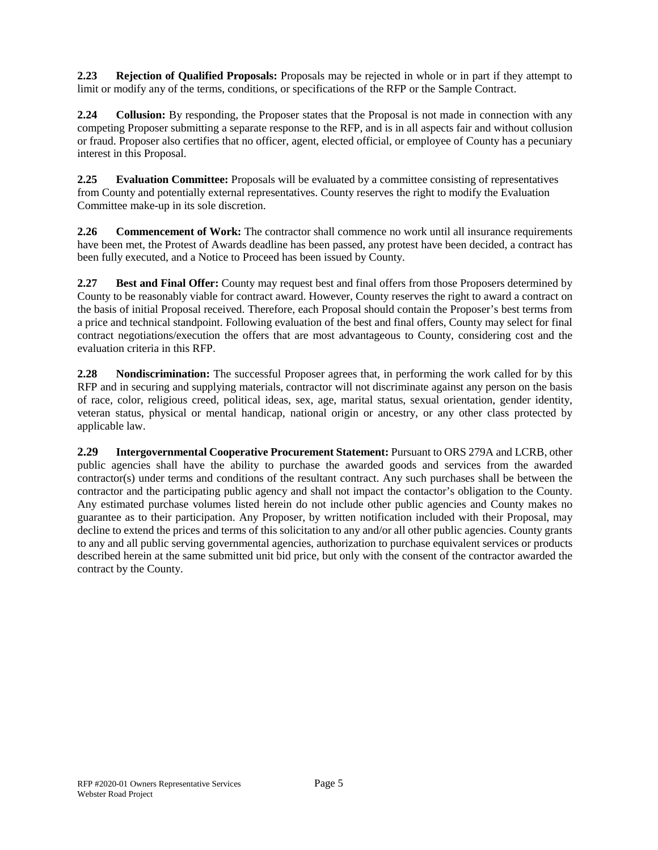**2.23 Rejection of Qualified Proposals:** Proposals may be rejected in whole or in part if they attempt to limit or modify any of the terms, conditions, or specifications of the RFP or the Sample Contract.

**2.24 Collusion:** By responding, the Proposer states that the Proposal is not made in connection with any competing Proposer submitting a separate response to the RFP, and is in all aspects fair and without collusion or fraud. Proposer also certifies that no officer, agent, elected official, or employee of County has a pecuniary interest in this Proposal.

**2.25 Evaluation Committee:** Proposals will be evaluated by a committee consisting of representatives from County and potentially external representatives. County reserves the right to modify the Evaluation Committee make-up in its sole discretion.

**2.26 Commencement of Work:** The contractor shall commence no work until all insurance requirements have been met, the Protest of Awards deadline has been passed, any protest have been decided, a contract has been fully executed, and a Notice to Proceed has been issued by County.

**2.27 Best and Final Offer:** County may request best and final offers from those Proposers determined by County to be reasonably viable for contract award. However, County reserves the right to award a contract on the basis of initial Proposal received. Therefore, each Proposal should contain the Proposer's best terms from a price and technical standpoint. Following evaluation of the best and final offers, County may select for final contract negotiations/execution the offers that are most advantageous to County, considering cost and the evaluation criteria in this RFP.

**2.28 Nondiscrimination:** The successful Proposer agrees that, in performing the work called for by this RFP and in securing and supplying materials, contractor will not discriminate against any person on the basis of race, color, religious creed, political ideas, sex, age, marital status, sexual orientation, gender identity, veteran status, physical or mental handicap, national origin or ancestry, or any other class protected by applicable law.

**2.29 Intergovernmental Cooperative Procurement Statement:** Pursuant to ORS 279A and LCRB, other public agencies shall have the ability to purchase the awarded goods and services from the awarded contractor(s) under terms and conditions of the resultant contract. Any such purchases shall be between the contractor and the participating public agency and shall not impact the contactor's obligation to the County. Any estimated purchase volumes listed herein do not include other public agencies and County makes no guarantee as to their participation. Any Proposer, by written notification included with their Proposal, may decline to extend the prices and terms of this solicitation to any and/or all other public agencies. County grants to any and all public serving governmental agencies, authorization to purchase equivalent services or products described herein at the same submitted unit bid price, but only with the consent of the contractor awarded the contract by the County.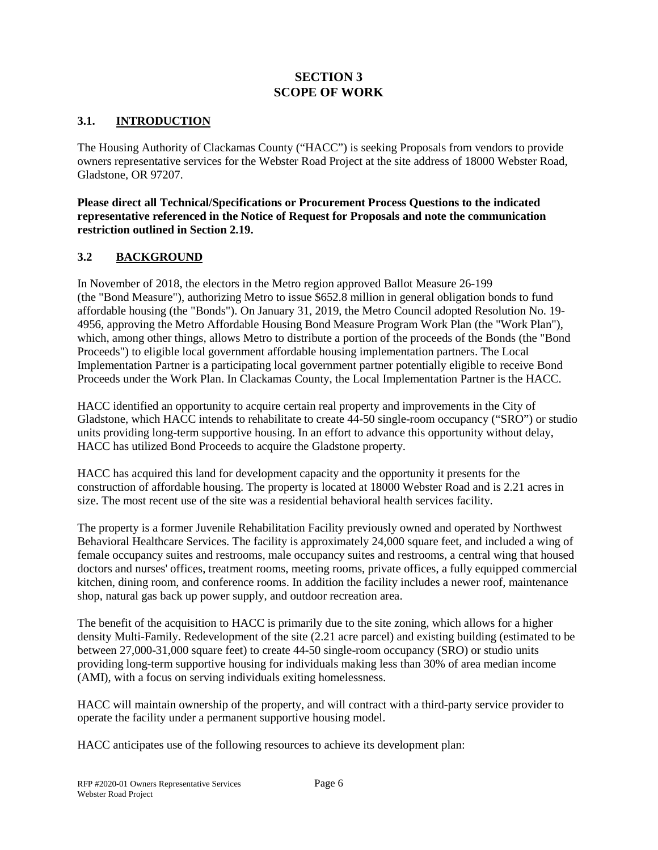## **SECTION 3 SCOPE OF WORK**

## **3.1. INTRODUCTION**

The Housing Authority of Clackamas County ("HACC") is seeking Proposals from vendors to provide owners representative services for the Webster Road Project at the site address of 18000 Webster Road, Gladstone, OR 97207.

#### **Please direct all Technical/Specifications or Procurement Process Questions to the indicated representative referenced in the Notice of Request for Proposals and note the communication restriction outlined in Section 2.19.**

## **3.2 BACKGROUND**

In November of 2018, the electors in the Metro region approved Ballot Measure 26-199 (the "Bond Measure"), authorizing Metro to issue \$652.8 million in general obligation bonds to fund affordable housing (the "Bonds"). On January 31, 2019, the Metro Council adopted Resolution No. 19- 4956, approving the Metro Affordable Housing Bond Measure Program Work Plan (the "Work Plan"), which, among other things, allows Metro to distribute a portion of the proceeds of the Bonds (the "Bond Proceeds") to eligible local government affordable housing implementation partners. The Local Implementation Partner is a participating local government partner potentially eligible to receive Bond Proceeds under the Work Plan. In Clackamas County, the Local Implementation Partner is the HACC.

HACC identified an opportunity to acquire certain real property and improvements in the City of Gladstone, which HACC intends to rehabilitate to create 44-50 single-room occupancy ("SRO") or studio units providing long-term supportive housing. In an effort to advance this opportunity without delay, HACC has utilized Bond Proceeds to acquire the Gladstone property.

HACC has acquired this land for development capacity and the opportunity it presents for the construction of affordable housing. The property is located at 18000 Webster Road and is 2.21 acres in size. The most recent use of the site was a residential behavioral health services facility.

The property is a former Juvenile Rehabilitation Facility previously owned and operated by Northwest Behavioral Healthcare Services. The facility is approximately 24,000 square feet, and included a wing of female occupancy suites and restrooms, male occupancy suites and restrooms, a central wing that housed doctors and nurses' offices, treatment rooms, meeting rooms, private offices, a fully equipped commercial kitchen, dining room, and conference rooms. In addition the facility includes a newer roof, maintenance shop, natural gas back up power supply, and outdoor recreation area.

The benefit of the acquisition to HACC is primarily due to the site zoning, which allows for a higher density Multi-Family. Redevelopment of the site (2.21 acre parcel) and existing building (estimated to be between 27,000-31,000 square feet) to create 44-50 single-room occupancy (SRO) or studio units providing long-term supportive housing for individuals making less than 30% of area median income (AMI), with a focus on serving individuals exiting homelessness.

HACC will maintain ownership of the property, and will contract with a third-party service provider to operate the facility under a permanent supportive housing model.

HACC anticipates use of the following resources to achieve its development plan: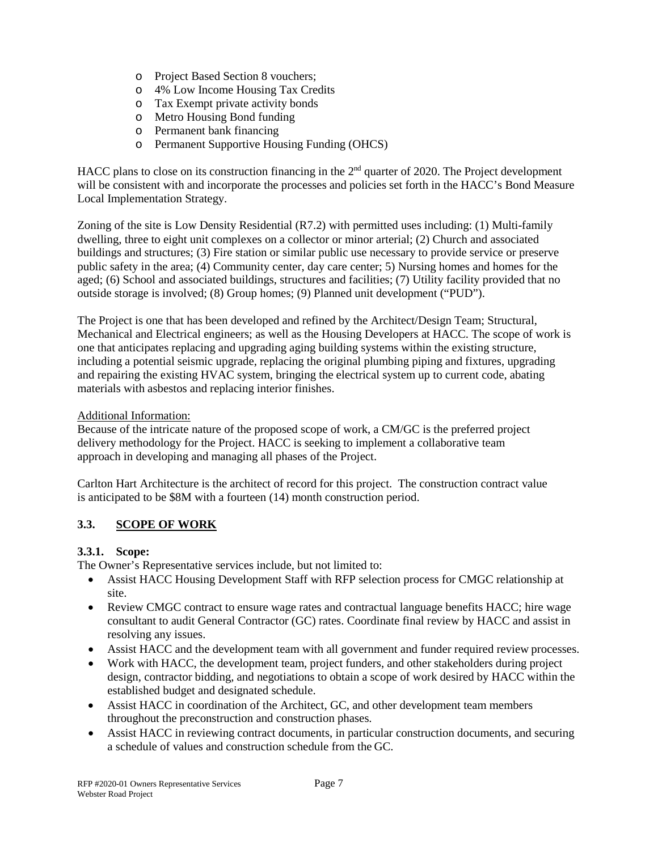- o Project Based Section 8 vouchers;
- o 4% Low Income Housing Tax Credits
- o Tax Exempt private activity bonds
- o Metro Housing Bond funding
- o Permanent bank financing
- o Permanent Supportive Housing Funding (OHCS)

HACC plans to close on its construction financing in the 2<sup>nd</sup> quarter of 2020. The Project development will be consistent with and incorporate the processes and policies set forth in the HACC's Bond Measure Local Implementation Strategy.

Zoning of the site is Low Density Residential (R7.2) with permitted uses including: (1) Multi-family dwelling, three to eight unit complexes on a collector or minor arterial; (2) Church and associated buildings and structures; (3) Fire station or similar public use necessary to provide service or preserve public safety in the area; (4) Community center, day care center; 5) Nursing homes and homes for the aged; (6) School and associated buildings, structures and facilities; (7) Utility facility provided that no outside storage is involved; (8) Group homes; (9) Planned unit development ("PUD").

The Project is one that has been developed and refined by the Architect/Design Team; Structural, Mechanical and Electrical engineers; as well as the Housing Developers at HACC. The scope of work is one that anticipates replacing and upgrading aging building systems within the existing structure, including a potential seismic upgrade, replacing the original plumbing piping and fixtures, upgrading and repairing the existing HVAC system, bringing the electrical system up to current code, abating materials with asbestos and replacing interior finishes.

## Additional Information:

Because of the intricate nature of the proposed scope of work, a CM/GC is the preferred project delivery methodology for the Project. HACC is seeking to implement a collaborative team approach in developing and managing all phases of the Project.

Carlton Hart Architecture is the architect of record for this project. The construction contract value is anticipated to be \$8M with a fourteen (14) month construction period.

## **3.3. SCOPE OF WORK**

## **3.3.1. Scope:**

The Owner's Representative services include, but not limited to:

- Assist HACC Housing Development Staff with RFP selection process for CMGC relationship at site.
- Review CMGC contract to ensure wage rates and contractual language benefits HACC; hire wage consultant to audit General Contractor (GC) rates. Coordinate final review by HACC and assist in resolving any issues.
- Assist HACC and the development team with all government and funder required review processes.
- Work with HACC, the development team, project funders, and other stakeholders during project design, contractor bidding, and negotiations to obtain a scope of work desired by HACC within the established budget and designated schedule.
- Assist HACC in coordination of the Architect, GC, and other development team members throughout the preconstruction and construction phases.
- Assist HACC in reviewing contract documents, in particular construction documents, and securing a schedule of values and construction schedule from the GC.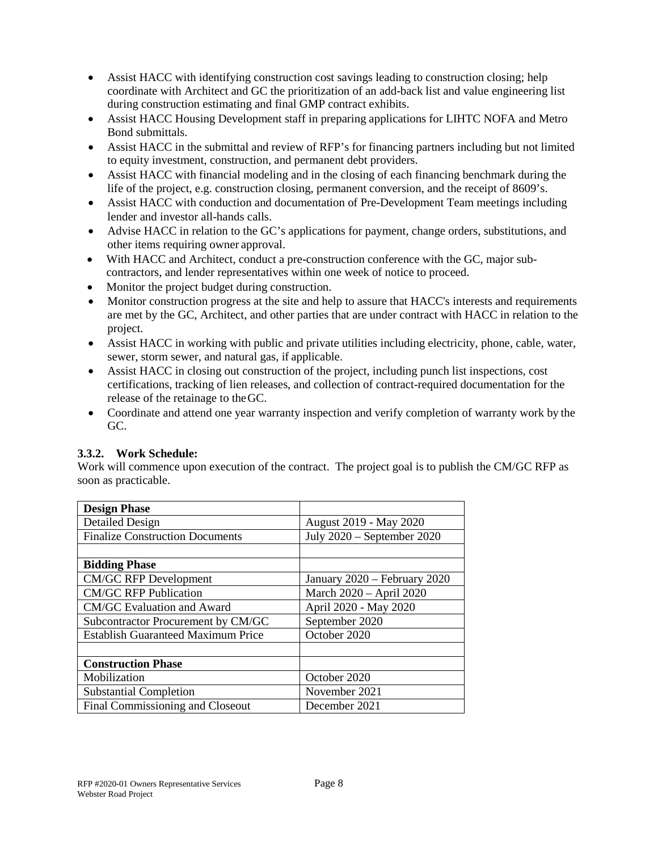- Assist HACC with identifying construction cost savings leading to construction closing; help coordinate with Architect and GC the prioritization of an add-back list and value engineering list during construction estimating and final GMP contract exhibits.
- Assist HACC Housing Development staff in preparing applications for LIHTC NOFA and Metro Bond submittals.
- Assist HACC in the submittal and review of RFP's for financing partners including but not limited to equity investment, construction, and permanent debt providers.
- Assist HACC with financial modeling and in the closing of each financing benchmark during the life of the project, e.g. construction closing, permanent conversion, and the receipt of 8609's.
- Assist HACC with conduction and documentation of Pre-Development Team meetings including lender and investor all-hands calls.
- Advise HACC in relation to the GC's applications for payment, change orders, substitutions, and other items requiring owner approval.
- With HACC and Architect, conduct a pre-construction conference with the GC, major subcontractors, and lender representatives within one week of notice to proceed.
- Monitor the project budget during construction.
- Monitor construction progress at the site and help to assure that HACC's interests and requirements are met by the GC, Architect, and other parties that are under contract with HACC in relation to the project.
- Assist HACC in working with public and private utilities including electricity, phone, cable, water, sewer, storm sewer, and natural gas, if applicable.
- Assist HACC in closing out construction of the project, including punch list inspections, cost certifications, tracking of lien releases, and collection of contract-required documentation for the release of the retainage to theGC.
- Coordinate and attend one year warranty inspection and verify completion of warranty work by the GC.

## **3.3.2. Work Schedule:**

Work will commence upon execution of the contract. The project goal is to publish the CM/GC RFP as soon as practicable.

| <b>Design Phase</b>                       |                              |  |  |
|-------------------------------------------|------------------------------|--|--|
| <b>Detailed Design</b>                    | August 2019 - May 2020       |  |  |
| <b>Finalize Construction Documents</b>    | July 2020 - September 2020   |  |  |
|                                           |                              |  |  |
| <b>Bidding Phase</b>                      |                              |  |  |
| <b>CM/GC RFP Development</b>              | January 2020 - February 2020 |  |  |
| <b>CM/GC RFP Publication</b>              | March 2020 - April 2020      |  |  |
| CM/GC Evaluation and Award                | April 2020 - May 2020        |  |  |
| Subcontractor Procurement by CM/GC        | September 2020               |  |  |
| <b>Establish Guaranteed Maximum Price</b> | October 2020                 |  |  |
|                                           |                              |  |  |
| <b>Construction Phase</b>                 |                              |  |  |
| Mobilization                              | October 2020                 |  |  |
| <b>Substantial Completion</b>             | November 2021                |  |  |
| Final Commissioning and Closeout          | December 2021                |  |  |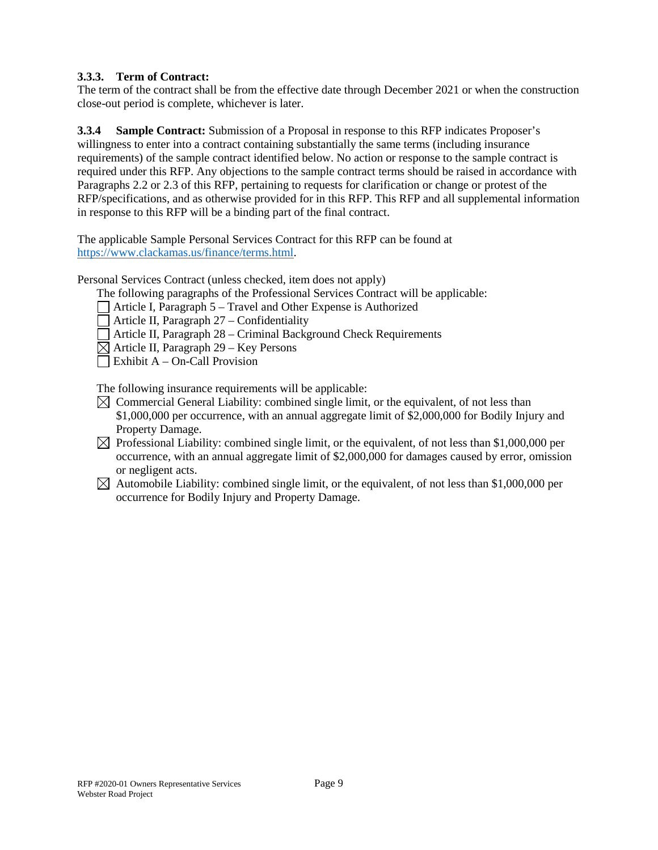## **3.3.3. Term of Contract:**

The term of the contract shall be from the effective date through December 2021 or when the construction close-out period is complete, whichever is later.

**3.3.4 Sample Contract:** Submission of a Proposal in response to this RFP indicates Proposer's willingness to enter into a contract containing substantially the same terms (including insurance requirements) of the sample contract identified below. No action or response to the sample contract is required under this RFP. Any objections to the sample contract terms should be raised in accordance with Paragraphs 2.2 or 2.3 of this RFP, pertaining to requests for clarification or change or protest of the RFP/specifications, and as otherwise provided for in this RFP. This RFP and all supplemental information in response to this RFP will be a binding part of the final contract.

The applicable Sample Personal Services Contract for this RFP can be found at [https://www.clackamas.us/finance/terms.html.](https://www.clackamas.us/finance/terms.html)

Personal Services Contract (unless checked, item does not apply)

- The following paragraphs of the Professional Services Contract will be applicable:
- Article I, Paragraph 5 Travel and Other Expense is Authorized
- $\Box$  Article II, Paragraph 27 Confidentiality
- Article II, Paragraph 28 Criminal Background Check Requirements
- $\boxtimes$  Article II, Paragraph 29 Key Persons
- $\Box$  Exhibit A On-Call Provision

The following insurance requirements will be applicable:

- $\boxtimes$  Commercial General Liability: combined single limit, or the equivalent, of not less than \$1,000,000 per occurrence, with an annual aggregate limit of \$2,000,000 for Bodily Injury and Property Damage.
- $\boxtimes$  Professional Liability: combined single limit, or the equivalent, of not less than \$1,000,000 per occurrence, with an annual aggregate limit of \$2,000,000 for damages caused by error, omission or negligent acts.
- $\boxtimes$  Automobile Liability: combined single limit, or the equivalent, of not less than \$1,000,000 per occurrence for Bodily Injury and Property Damage.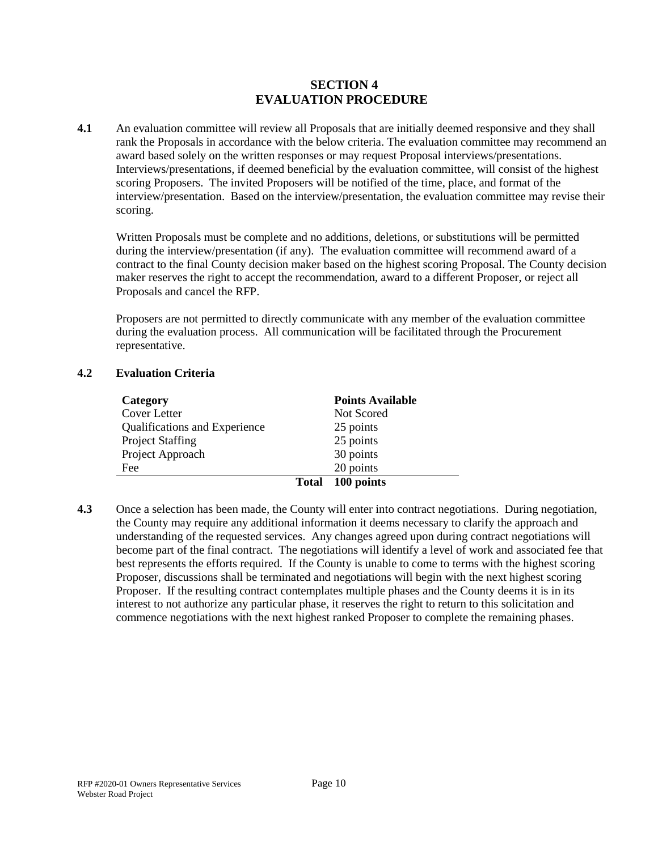## **SECTION 4 EVALUATION PROCEDURE**

**4.1** An evaluation committee will review all Proposals that are initially deemed responsive and they shall rank the Proposals in accordance with the below criteria. The evaluation committee may recommend an award based solely on the written responses or may request Proposal interviews/presentations. Interviews/presentations, if deemed beneficial by the evaluation committee, will consist of the highest scoring Proposers. The invited Proposers will be notified of the time, place, and format of the interview/presentation. Based on the interview/presentation, the evaluation committee may revise their scoring.

Written Proposals must be complete and no additions, deletions, or substitutions will be permitted during the interview/presentation (if any). The evaluation committee will recommend award of a contract to the final County decision maker based on the highest scoring Proposal. The County decision maker reserves the right to accept the recommendation, award to a different Proposer, or reject all Proposals and cancel the RFP.

Proposers are not permitted to directly communicate with any member of the evaluation committee during the evaluation process. All communication will be facilitated through the Procurement representative.

#### **4.2 Evaluation Criteria**

| Category                      | <b>Points Available</b> |                  |  |
|-------------------------------|-------------------------|------------------|--|
| Cover Letter                  |                         | Not Scored       |  |
| Qualifications and Experience |                         | 25 points        |  |
| <b>Project Staffing</b>       |                         | 25 points        |  |
| Project Approach              |                         | 30 points        |  |
| Fee                           |                         | 20 points        |  |
|                               |                         | Total 100 points |  |

**4.3** Once a selection has been made, the County will enter into contract negotiations. During negotiation, the County may require any additional information it deems necessary to clarify the approach and understanding of the requested services. Any changes agreed upon during contract negotiations will become part of the final contract. The negotiations will identify a level of work and associated fee that best represents the efforts required. If the County is unable to come to terms with the highest scoring Proposer, discussions shall be terminated and negotiations will begin with the next highest scoring Proposer. If the resulting contract contemplates multiple phases and the County deems it is in its interest to not authorize any particular phase, it reserves the right to return to this solicitation and commence negotiations with the next highest ranked Proposer to complete the remaining phases.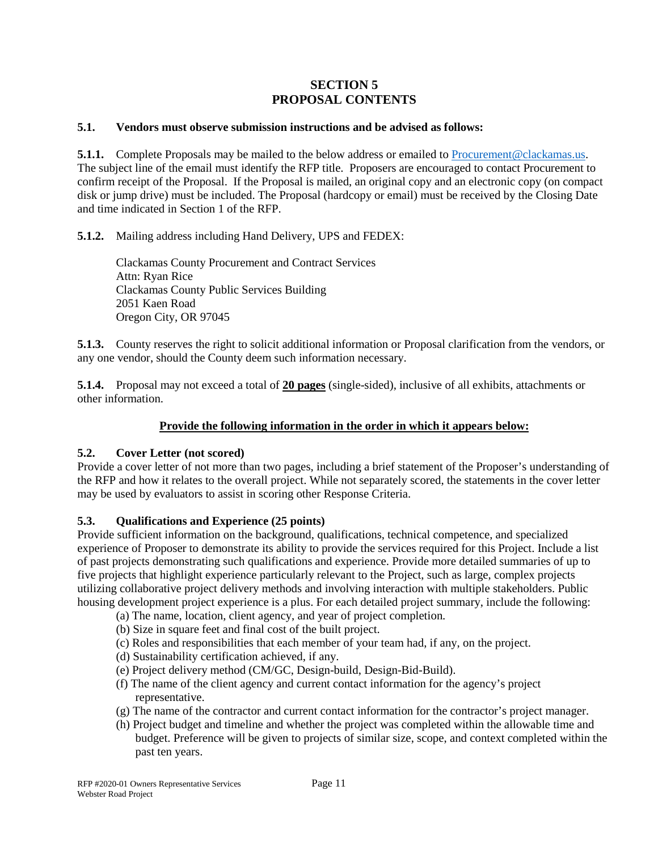## **SECTION 5 PROPOSAL CONTENTS**

#### **5.1. Vendors must observe submission instructions and be advised as follows:**

**5.1.1.** Complete Proposals may be mailed to the below address or emailed to [Procurement@clackamas.us.](mailto:Procurement@clackamas.us) The subject line of the email must identify the RFP title. Proposers are encouraged to contact Procurement to confirm receipt of the Proposal. If the Proposal is mailed, an original copy and an electronic copy (on compact disk or jump drive) must be included. The Proposal (hardcopy or email) must be received by the Closing Date and time indicated in Section 1 of the RFP.

**5.1.2.** Mailing address including Hand Delivery, UPS and FEDEX:

Clackamas County Procurement and Contract Services Attn: Ryan Rice Clackamas County Public Services Building 2051 Kaen Road Oregon City, OR 97045

**5.1.3.** County reserves the right to solicit additional information or Proposal clarification from the vendors, or any one vendor, should the County deem such information necessary.

**5.1.4.** Proposal may not exceed a total of **20 pages** (single-sided), inclusive of all exhibits, attachments or other information.

## **Provide the following information in the order in which it appears below:**

## **5.2. Cover Letter (not scored)**

Provide a cover letter of not more than two pages, including a brief statement of the Proposer's understanding of the RFP and how it relates to the overall project. While not separately scored, the statements in the cover letter may be used by evaluators to assist in scoring other Response Criteria.

## **5.3. Qualifications and Experience (25 points)**

Provide sufficient information on the background, qualifications, technical competence, and specialized experience of Proposer to demonstrate its ability to provide the services required for this Project. Include a list of past projects demonstrating such qualifications and experience. Provide more detailed summaries of up to five projects that highlight experience particularly relevant to the Project, such as large, complex projects utilizing collaborative project delivery methods and involving interaction with multiple stakeholders. Public housing development project experience is a plus. For each detailed project summary, include the following:

- (a) The name, location, client agency, and year of project completion.
- (b) Size in square feet and final cost of the built project.
- (c) Roles and responsibilities that each member of your team had, if any, on the project.
- (d) Sustainability certification achieved, if any.
- (e) Project delivery method (CM/GC, Design-build, Design-Bid-Build).
- (f) The name of the client agency and current contact information for the agency's project representative.
- (g) The name of the contractor and current contact information for the contractor's project manager.
- (h) Project budget and timeline and whether the project was completed within the allowable time and budget. Preference will be given to projects of similar size, scope, and context completed within the past ten years.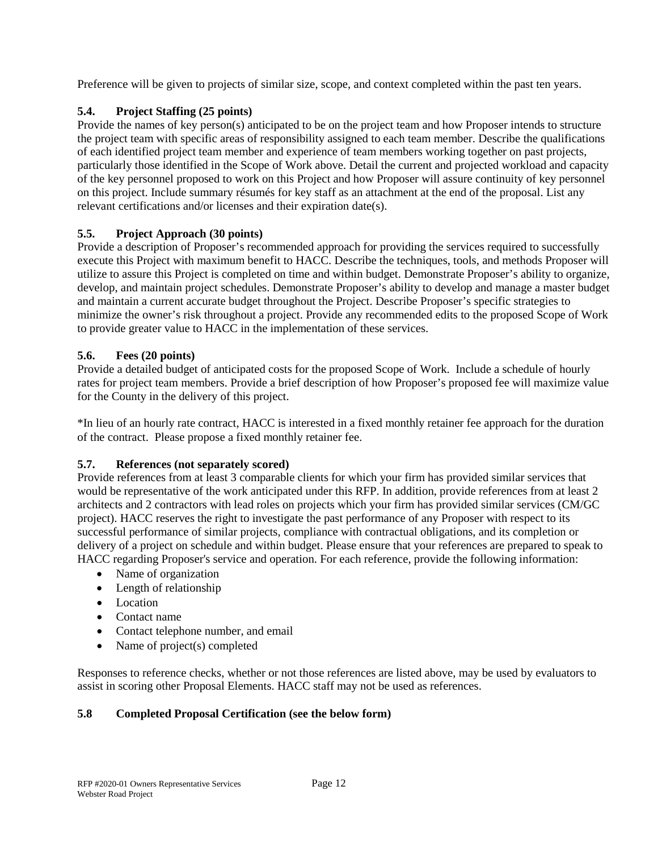Preference will be given to projects of similar size, scope, and context completed within the past ten years.

## **5.4. Project Staffing (25 points)**

Provide the names of key person(s) anticipated to be on the project team and how Proposer intends to structure the project team with specific areas of responsibility assigned to each team member. Describe the qualifications of each identified project team member and experience of team members working together on past projects, particularly those identified in the Scope of Work above. Detail the current and projected workload and capacity of the key personnel proposed to work on this Project and how Proposer will assure continuity of key personnel on this project. Include summary résumés for key staff as an attachment at the end of the proposal. List any relevant certifications and/or licenses and their expiration date(s).

## **5.5. Project Approach (30 points)**

Provide a description of Proposer's recommended approach for providing the services required to successfully execute this Project with maximum benefit to HACC. Describe the techniques, tools, and methods Proposer will utilize to assure this Project is completed on time and within budget. Demonstrate Proposer's ability to organize, develop, and maintain project schedules. Demonstrate Proposer's ability to develop and manage a master budget and maintain a current accurate budget throughout the Project. Describe Proposer's specific strategies to minimize the owner's risk throughout a project. Provide any recommended edits to the proposed Scope of Work to provide greater value to HACC in the implementation of these services.

## **5.6. Fees (20 points)**

Provide a detailed budget of anticipated costs for the proposed Scope of Work. Include a schedule of hourly rates for project team members. Provide a brief description of how Proposer's proposed fee will maximize value for the County in the delivery of this project.

\*In lieu of an hourly rate contract, HACC is interested in a fixed monthly retainer fee approach for the duration of the contract. Please propose a fixed monthly retainer fee.

## **5.7. References (not separately scored)**

Provide references from at least 3 comparable clients for which your firm has provided similar services that would be representative of the work anticipated under this RFP. In addition, provide references from at least 2 architects and 2 contractors with lead roles on projects which your firm has provided similar services (CM/GC project). HACC reserves the right to investigate the past performance of any Proposer with respect to its successful performance of similar projects, compliance with contractual obligations, and its completion or delivery of a project on schedule and within budget. Please ensure that your references are prepared to speak to HACC regarding Proposer's service and operation. For each reference, provide the following information:

- Name of organization
- Length of relationship
- Location
- Contact name
- Contact telephone number, and email
- Name of project(s) completed

Responses to reference checks, whether or not those references are listed above, may be used by evaluators to assist in scoring other Proposal Elements. HACC staff may not be used as references.

## **5.8 Completed Proposal Certification (see the below form)**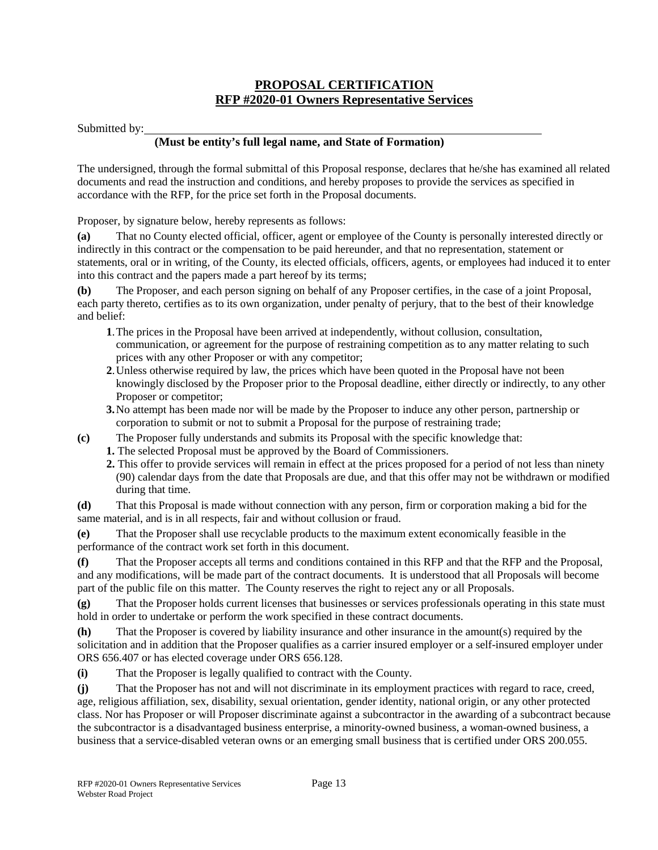## **PROPOSAL CERTIFICATION RFP #2020-01 Owners Representative Services**

#### Submitted by:

## **(Must be entity's full legal name, and State of Formation)**

The undersigned, through the formal submittal of this Proposal response, declares that he/she has examined all related documents and read the instruction and conditions, and hereby proposes to provide the services as specified in accordance with the RFP, for the price set forth in the Proposal documents.

Proposer, by signature below, hereby represents as follows:

**(a)** That no County elected official, officer, agent or employee of the County is personally interested directly or indirectly in this contract or the compensation to be paid hereunder, and that no representation, statement or statements, oral or in writing, of the County, its elected officials, officers, agents, or employees had induced it to enter into this contract and the papers made a part hereof by its terms;

**(b)** The Proposer, and each person signing on behalf of any Proposer certifies, in the case of a joint Proposal, each party thereto, certifies as to its own organization, under penalty of perjury, that to the best of their knowledge and belief:

- **1**.The prices in the Proposal have been arrived at independently, without collusion, consultation, communication, or agreement for the purpose of restraining competition as to any matter relating to such prices with any other Proposer or with any competitor;
- **2**.Unless otherwise required by law, the prices which have been quoted in the Proposal have not been knowingly disclosed by the Proposer prior to the Proposal deadline, either directly or indirectly, to any other Proposer or competitor;
- **3.**No attempt has been made nor will be made by the Proposer to induce any other person, partnership or corporation to submit or not to submit a Proposal for the purpose of restraining trade;
- **(c)** The Proposer fully understands and submits its Proposal with the specific knowledge that:
	- **1.** The selected Proposal must be approved by the Board of Commissioners.
	- **2.** This offer to provide services will remain in effect at the prices proposed for a period of not less than ninety (90) calendar days from the date that Proposals are due, and that this offer may not be withdrawn or modified during that time.

**(d)** That this Proposal is made without connection with any person, firm or corporation making a bid for the same material, and is in all respects, fair and without collusion or fraud.

**(e)** That the Proposer shall use recyclable products to the maximum extent economically feasible in the performance of the contract work set forth in this document.

**(f)** That the Proposer accepts all terms and conditions contained in this RFP and that the RFP and the Proposal, and any modifications, will be made part of the contract documents. It is understood that all Proposals will become part of the public file on this matter. The County reserves the right to reject any or all Proposals.

**(g)** That the Proposer holds current licenses that businesses or services professionals operating in this state must hold in order to undertake or perform the work specified in these contract documents.

**(h)** That the Proposer is covered by liability insurance and other insurance in the amount(s) required by the solicitation and in addition that the Proposer qualifies as a carrier insured employer or a self-insured employer under ORS 656.407 or has elected coverage under ORS 656.128.

**(i)** That the Proposer is legally qualified to contract with the County.

**(j)** That the Proposer has not and will not discriminate in its employment practices with regard to race, creed, age, religious affiliation, sex, disability, sexual orientation, gender identity, national origin, or any other protected class. Nor has Proposer or will Proposer discriminate against a subcontractor in the awarding of a subcontract because the subcontractor is a disadvantaged business enterprise, a minority-owned business, a woman-owned business, a business that a service-disabled veteran owns or an emerging small business that is certified under ORS 200.055.